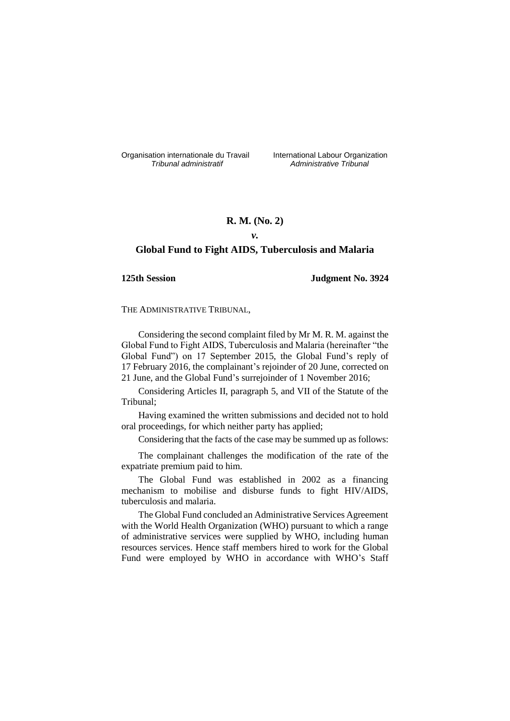Organisation internationale du Travail liternational Labour Organization<br> *Tribunal administratif Administrative Tribunal* 

*Tribunal administratif Administrative Tribunal*

# **R. M. (No. 2)**

# *v.*

# **Global Fund to Fight AIDS, Tuberculosis and Malaria**

## **125th Session Judgment No. 3924**

THE ADMINISTRATIVE TRIBUNAL,

Considering the second complaint filed by Mr M. R. M. against the Global Fund to Fight AIDS, Tuberculosis and Malaria (hereinafter "the Global Fund") on 17 September 2015, the Global Fund's reply of 17 February 2016, the complainant's rejoinder of 20 June, corrected on 21 June, and the Global Fund's surrejoinder of 1 November 2016;

Considering Articles II, paragraph 5, and VII of the Statute of the Tribunal;

Having examined the written submissions and decided not to hold oral proceedings, for which neither party has applied;

Considering that the facts of the case may be summed up as follows:

The complainant challenges the modification of the rate of the expatriate premium paid to him.

The Global Fund was established in 2002 as a financing mechanism to mobilise and disburse funds to fight HIV/AIDS, tuberculosis and malaria.

The Global Fund concluded an Administrative Services Agreement with the World Health Organization (WHO) pursuant to which a range of administrative services were supplied by WHO, including human resources services. Hence staff members hired to work for the Global Fund were employed by WHO in accordance with WHO's Staff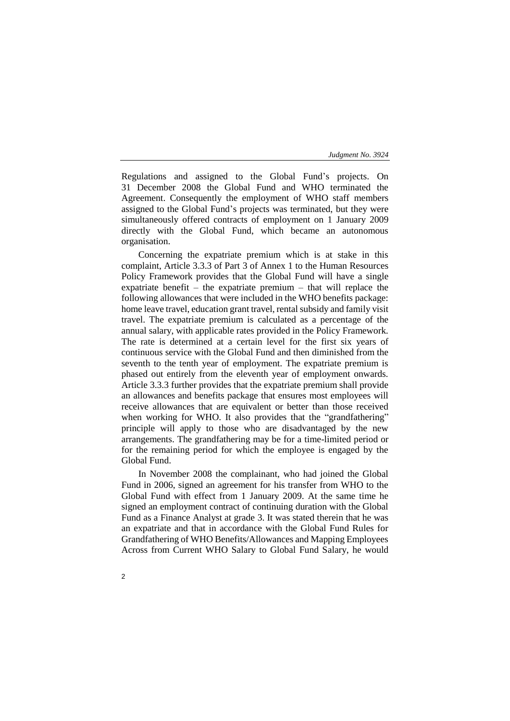Regulations and assigned to the Global Fund's projects. On 31 December 2008 the Global Fund and WHO terminated the Agreement. Consequently the employment of WHO staff members assigned to the Global Fund's projects was terminated, but they were simultaneously offered contracts of employment on 1 January 2009 directly with the Global Fund, which became an autonomous organisation.

Concerning the expatriate premium which is at stake in this complaint, Article 3.3.3 of Part 3 of Annex 1 to the Human Resources Policy Framework provides that the Global Fund will have a single expatriate benefit – the expatriate premium – that will replace the following allowances that were included in the WHO benefits package: home leave travel, education grant travel, rental subsidy and family visit travel. The expatriate premium is calculated as a percentage of the annual salary, with applicable rates provided in the Policy Framework. The rate is determined at a certain level for the first six years of continuous service with the Global Fund and then diminished from the seventh to the tenth year of employment. The expatriate premium is phased out entirely from the eleventh year of employment onwards. Article 3.3.3 further provides that the expatriate premium shall provide an allowances and benefits package that ensures most employees will receive allowances that are equivalent or better than those received when working for WHO. It also provides that the "grandfathering" principle will apply to those who are disadvantaged by the new arrangements. The grandfathering may be for a time-limited period or for the remaining period for which the employee is engaged by the Global Fund.

In November 2008 the complainant, who had joined the Global Fund in 2006, signed an agreement for his transfer from WHO to the Global Fund with effect from 1 January 2009. At the same time he signed an employment contract of continuing duration with the Global Fund as a Finance Analyst at grade 3. It was stated therein that he was an expatriate and that in accordance with the Global Fund Rules for Grandfathering of WHO Benefits/Allowances and Mapping Employees Across from Current WHO Salary to Global Fund Salary, he would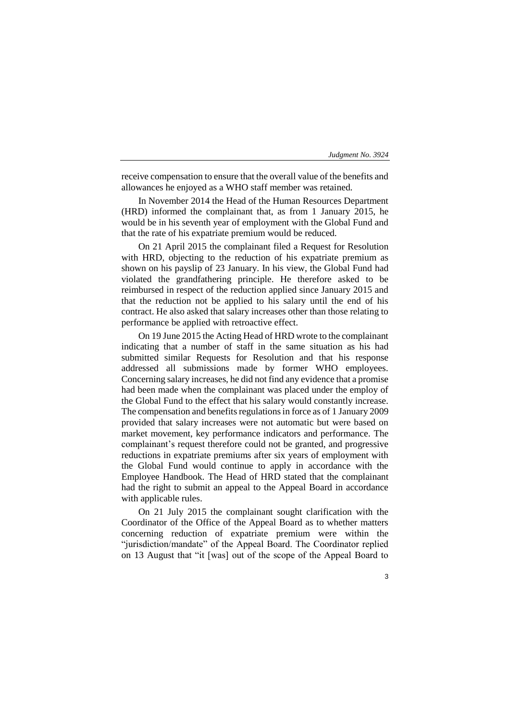receive compensation to ensure that the overall value of the benefits and allowances he enjoyed as a WHO staff member was retained.

In November 2014 the Head of the Human Resources Department (HRD) informed the complainant that, as from 1 January 2015, he would be in his seventh year of employment with the Global Fund and that the rate of his expatriate premium would be reduced.

On 21 April 2015 the complainant filed a Request for Resolution with HRD, objecting to the reduction of his expatriate premium as shown on his payslip of 23 January. In his view, the Global Fund had violated the grandfathering principle. He therefore asked to be reimbursed in respect of the reduction applied since January 2015 and that the reduction not be applied to his salary until the end of his contract. He also asked that salary increases other than those relating to performance be applied with retroactive effect.

On 19 June 2015 the Acting Head of HRD wrote to the complainant indicating that a number of staff in the same situation as his had submitted similar Requests for Resolution and that his response addressed all submissions made by former WHO employees. Concerning salary increases, he did not find any evidence that a promise had been made when the complainant was placed under the employ of the Global Fund to the effect that his salary would constantly increase. The compensation and benefits regulations in force as of 1 January 2009 provided that salary increases were not automatic but were based on market movement, key performance indicators and performance. The complainant's request therefore could not be granted, and progressive reductions in expatriate premiums after six years of employment with the Global Fund would continue to apply in accordance with the Employee Handbook. The Head of HRD stated that the complainant had the right to submit an appeal to the Appeal Board in accordance with applicable rules.

On 21 July 2015 the complainant sought clarification with the Coordinator of the Office of the Appeal Board as to whether matters concerning reduction of expatriate premium were within the "jurisdiction/mandate" of the Appeal Board. The Coordinator replied on 13 August that "it [was] out of the scope of the Appeal Board to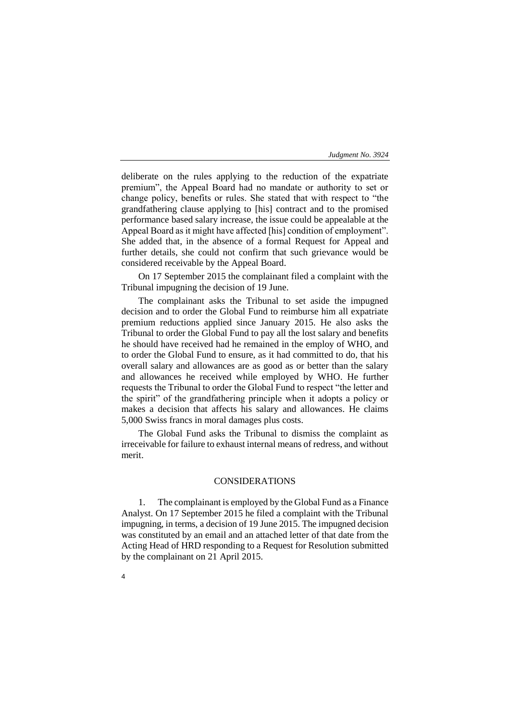deliberate on the rules applying to the reduction of the expatriate premium", the Appeal Board had no mandate or authority to set or change policy, benefits or rules. She stated that with respect to "the grandfathering clause applying to [his] contract and to the promised performance based salary increase, the issue could be appealable at the Appeal Board as it might have affected [his] condition of employment". She added that, in the absence of a formal Request for Appeal and further details, she could not confirm that such grievance would be considered receivable by the Appeal Board.

On 17 September 2015 the complainant filed a complaint with the Tribunal impugning the decision of 19 June.

The complainant asks the Tribunal to set aside the impugned decision and to order the Global Fund to reimburse him all expatriate premium reductions applied since January 2015. He also asks the Tribunal to order the Global Fund to pay all the lost salary and benefits he should have received had he remained in the employ of WHO, and to order the Global Fund to ensure, as it had committed to do, that his overall salary and allowances are as good as or better than the salary and allowances he received while employed by WHO. He further requests the Tribunal to order the Global Fund to respect "the letter and the spirit" of the grandfathering principle when it adopts a policy or makes a decision that affects his salary and allowances. He claims 5,000 Swiss francs in moral damages plus costs.

The Global Fund asks the Tribunal to dismiss the complaint as irreceivable for failure to exhaust internal means of redress, and without merit.

## CONSIDERATIONS

1. The complainant is employed by the Global Fund as a Finance Analyst. On 17 September 2015 he filed a complaint with the Tribunal impugning, in terms, a decision of 19 June 2015. The impugned decision was constituted by an email and an attached letter of that date from the Acting Head of HRD responding to a Request for Resolution submitted by the complainant on 21 April 2015.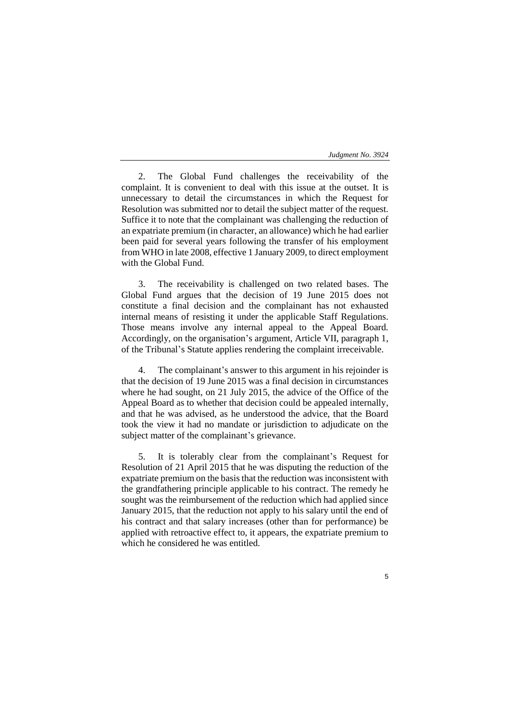2. The Global Fund challenges the receivability of the complaint. It is convenient to deal with this issue at the outset. It is unnecessary to detail the circumstances in which the Request for Resolution was submitted nor to detail the subject matter of the request. Suffice it to note that the complainant was challenging the reduction of an expatriate premium (in character, an allowance) which he had earlier been paid for several years following the transfer of his employment from WHO in late 2008, effective 1 January 2009, to direct employment with the Global Fund.

3. The receivability is challenged on two related bases. The Global Fund argues that the decision of 19 June 2015 does not constitute a final decision and the complainant has not exhausted internal means of resisting it under the applicable Staff Regulations. Those means involve any internal appeal to the Appeal Board. Accordingly, on the organisation's argument, Article VII, paragraph 1, of the Tribunal's Statute applies rendering the complaint irreceivable.

4. The complainant's answer to this argument in his rejoinder is that the decision of 19 June 2015 was a final decision in circumstances where he had sought, on 21 July 2015, the advice of the Office of the Appeal Board as to whether that decision could be appealed internally, and that he was advised, as he understood the advice, that the Board took the view it had no mandate or jurisdiction to adjudicate on the subject matter of the complainant's grievance.

5. It is tolerably clear from the complainant's Request for Resolution of 21 April 2015 that he was disputing the reduction of the expatriate premium on the basis that the reduction was inconsistent with the grandfathering principle applicable to his contract. The remedy he sought was the reimbursement of the reduction which had applied since January 2015, that the reduction not apply to his salary until the end of his contract and that salary increases (other than for performance) be applied with retroactive effect to, it appears, the expatriate premium to which he considered he was entitled.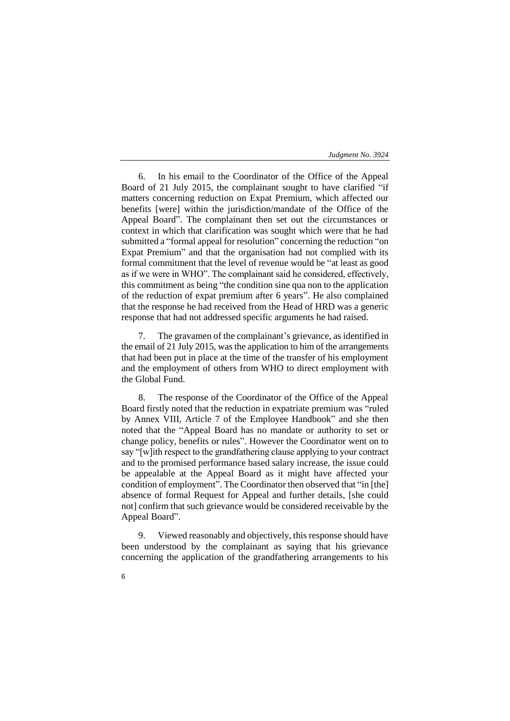6. In his email to the Coordinator of the Office of the Appeal Board of 21 July 2015, the complainant sought to have clarified "if matters concerning reduction on Expat Premium, which affected our benefits [were] within the jurisdiction/mandate of the Office of the Appeal Board". The complainant then set out the circumstances or context in which that clarification was sought which were that he had submitted a "formal appeal for resolution" concerning the reduction "on Expat Premium" and that the organisation had not complied with its formal commitment that the level of revenue would be "at least as good as if we were in WHO". The complainant said he considered, effectively, this commitment as being "the condition sine qua non to the application of the reduction of expat premium after 6 years". He also complained that the response he had received from the Head of HRD was a generic response that had not addressed specific arguments he had raised.

7. The gravamen of the complainant's grievance, as identified in the email of 21 July 2015, was the application to him of the arrangements that had been put in place at the time of the transfer of his employment and the employment of others from WHO to direct employment with the Global Fund.

8. The response of the Coordinator of the Office of the Appeal Board firstly noted that the reduction in expatriate premium was "ruled by Annex VIII, Article 7 of the Employee Handbook" and she then noted that the "Appeal Board has no mandate or authority to set or change policy, benefits or rules". However the Coordinator went on to say "[w]ith respect to the grandfathering clause applying to your contract and to the promised performance based salary increase, the issue could be appealable at the Appeal Board as it might have affected your condition of employment". The Coordinator then observed that "in [the] absence of formal Request for Appeal and further details, [she could not] confirm that such grievance would be considered receivable by the Appeal Board".

9. Viewed reasonably and objectively, this response should have been understood by the complainant as saying that his grievance concerning the application of the grandfathering arrangements to his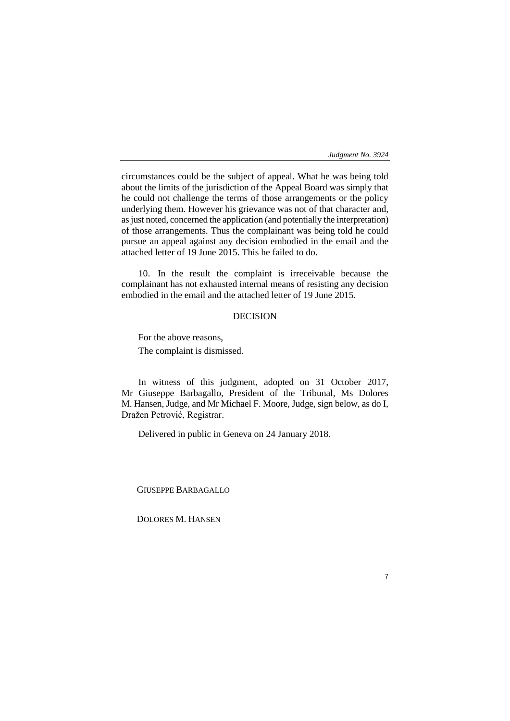7

circumstances could be the subject of appeal. What he was being told about the limits of the jurisdiction of the Appeal Board was simply that he could not challenge the terms of those arrangements or the policy underlying them. However his grievance was not of that character and, as just noted, concerned the application (and potentially the interpretation) of those arrangements. Thus the complainant was being told he could pursue an appeal against any decision embodied in the email and the attached letter of 19 June 2015. This he failed to do.

10. In the result the complaint is irreceivable because the complainant has not exhausted internal means of resisting any decision embodied in the email and the attached letter of 19 June 2015.

# DECISION

For the above reasons, The complaint is dismissed.

In witness of this judgment, adopted on 31 October 2017, Mr Giuseppe Barbagallo, President of the Tribunal, Ms Dolores M. Hansen, Judge, and Mr Michael F. Moore, Judge, sign below, as do I, Dražen Petrović, Registrar.

Delivered in public in Geneva on 24 January 2018.

GIUSEPPE BARBAGALLO

DOLORES M. HANSEN